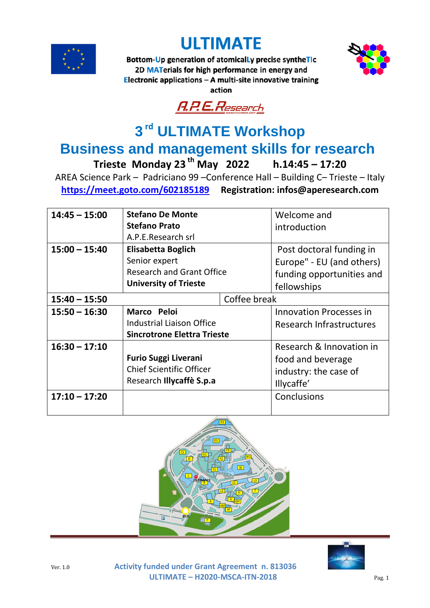





Bottom-Up generation of atomically precise syntheTIc 2D MATerials for high performance in energy and Electronic applications - A multi-site innovative training action



## **3 rd ULTIMATE Workshop**

## **Business and management skills for research**<br>Trieste Monday 23<sup>th</sup> May 2022 h.14:45 - 17:20 **Trieste Monday 23 th May 2022 h.14:45 – 17:20**

AREA Science Park – Padriciano 99 –Conference Hall – Building C– Trieste – Italy **<https://meet.goto.com/602185189> Registration: infos@aperesearch.com**

| $14:45 - 15:00$ | <b>Stefano De Monte</b>                                        |  | Welcome and                     |
|-----------------|----------------------------------------------------------------|--|---------------------------------|
|                 | <b>Stefano Prato</b>                                           |  | introduction                    |
|                 | A.P.E.Research srl                                             |  |                                 |
| $15:00 - 15:40$ | <b>Elisabetta Boglich</b>                                      |  | Post doctoral funding in        |
|                 | Senior expert                                                  |  | Europe" - EU (and others)       |
|                 | <b>Research and Grant Office</b>                               |  | funding opportunities and       |
|                 | <b>University of Trieste</b>                                   |  | fellowships                     |
| $15:40 - 15:50$ | Coffee break                                                   |  |                                 |
| $15:50 - 16:30$ | Marco Peloi                                                    |  | <b>Innovation Processes in</b>  |
|                 | <b>Industrial Liaison Office</b>                               |  | <b>Research Infrastructures</b> |
|                 | <b>Sincrotrone Elettra Trieste</b>                             |  |                                 |
| $16:30 - 17:10$ | <b>Furio Suggi Liverani</b><br><b>Chief Scientific Officer</b> |  | Research & Innovation in        |
|                 |                                                                |  | food and beverage               |
|                 |                                                                |  | industry: the case of           |
|                 | Research Illycaffè S.p.a                                       |  | Illycaffe'                      |
| $17:10 - 17:20$ |                                                                |  | Conclusions                     |
|                 |                                                                |  |                                 |